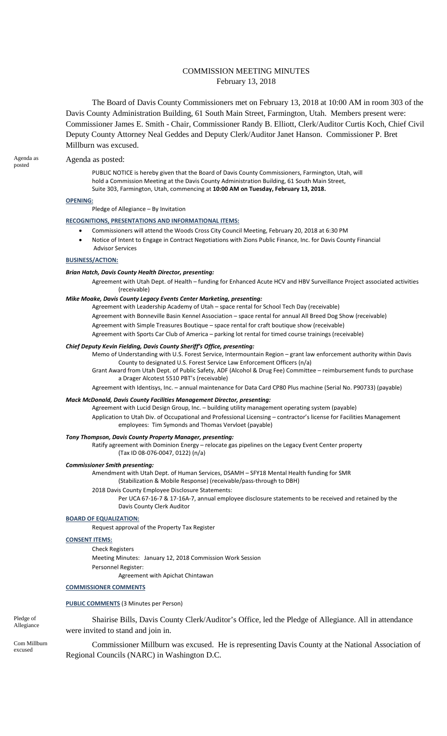# COMMISSION MEETING MINUTES February 13, 2018

The Board of Davis County Commissioners met on February 13, 2018 at 10:00 AM in room 303 of the Davis County Administration Building, 61 South Main Street, Farmington, Utah. Members present were: Commissioner James E. Smith - Chair, Commissioner Randy B. Elliott, Clerk/Auditor Curtis Koch, Chief Civil Deputy County Attorney Neal Geddes and Deputy Clerk/Auditor Janet Hanson. Commissioner P. Bret Millburn was excused.

#### Agenda as Agenda as posted:<br>
posted as posted:

PUBLIC NOTICE is hereby given that the Board of Davis County Commissioners, Farmington, Utah, will hold a Commission Meeting at the Davis County Administration Building, 61 South Main Street, Suite 303, Farmington, Utah, commencing at **10:00 AM on Tuesday, February 13, 2018.**

#### **OPENING:**

Pledge of Allegiance – By Invitation

#### **RECOGNITIONS, PRESENTATIONS AND INFORMATIONAL ITEMS:**

- Commissioners will attend the Woods Cross City Council Meeting, February 20, 2018 at 6:30 PM
	- Notice of Intent to Engage in Contract Negotiations with Zions Public Finance, Inc. for Davis County Financial Advisor Services

## **BUSINESS/ACTION:**

#### *Brian Hatch, Davis County Health Director, presenting:*

Agreement with Utah Dept. of Health – funding for Enhanced Acute HCV and HBV Surveillance Project associated activities (receivable)

## *Mike Moake, Davis County Legacy Events Center Marketing, presenting:*

Agreement with Leadership Academy of Utah – space rental for School Tech Day (receivable) Agreement with Bonneville Basin Kennel Association – space rental for annual All Breed Dog Show (receivable) Agreement with Simple Treasures Boutique – space rental for craft boutique show (receivable)

Agreement with Sports Car Club of America – parking lot rental for timed course trainings (receivable)

# *Chief Deputy Kevin Fielding, Davis County Sheriff's Office, presenting:*

Memo of Understanding with U.S. Forest Service, Intermountain Region – grant law enforcement authority within Davis County to designated U.S. Forest Service Law Enforcement Officers (n/a)

Grant Award from Utah Dept. of Public Safety, ADF (Alcohol & Drug Fee) Committee – reimbursement funds to purchase a Drager Alcotest 5510 PBT's (receivable)

Agreement with Identisys, Inc. – annual maintenance for Data Card CP80 Plus machine (Serial No. P90733) (payable)

#### *Mack McDonald, Davis County Facilities Management Director, presenting:*

Agreement with Lucid Design Group, Inc. – building utility management operating system (payable) Application to Utah Div. of Occupational and Professional Licensing – contractor's license for Facilities Management employees: Tim Symonds and Thomas Vervloet (payable)

#### *Tony Thompson, Davis County Property Manager, presenting:*

Ratify agreement with Dominion Energy – relocate gas pipelines on the Legacy Event Center property (Tax ID 08-076-0047, 0122) (n/a)

#### *Commissioner Smith presenting:*

Amendment with Utah Dept. of Human Services, DSAMH – SFY18 Mental Health funding for SMR (Stabilization & Mobile Response) (receivable/pass-through to DBH)

2018 Davis County Employee Disclosure Statements:

Per UCA 67-16-7 & 17-16A-7, annual employee disclosure statements to be received and retained by the Davis County Clerk Auditor

#### **BOARD OF EQUALIZATION:**

Request approval of the Property Tax Register

#### **CONSENT ITEMS:**

Check Registers

Meeting Minutes: January 12, 2018 Commission Work Session Personnel Register:

Agreement with Apichat Chintawan

#### **COMMISSIONER COMMENTS**

#### **PUBLIC COMMENTS** (3 Minutes per Person)

Pledge of<br>Allegiance

Shairise Bills, Davis County Clerk/Auditor's Office, led the Pledge of Allegiance. All in attendance were invited to stand and join in.

Commissioner Millburn was excused. He is representing Davis County at the National Association of excused Regional Councils (NARC) in Washington D.C.

Com Millburn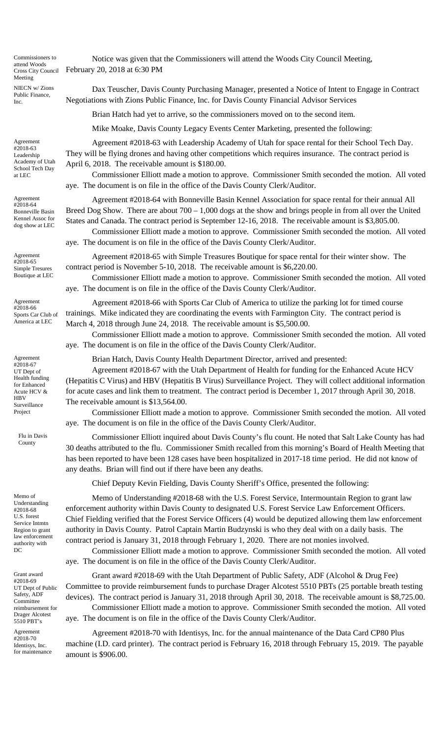Commissioners to attend Woods Cross City Council Meeting NIECN w/ Zions Public Finance, Inc.

Agreement #2018-63 Leadership Academy of Utah School Tech Day at LEC

Agreement #2018-64 Bonneville Basin Kennel Assoc for dog show at LEC

Agreement #2018-65 Simple Tresures Boutique at LEC

Agreement #2018-66 Sports Car Club of America at LEC

Agreement #2018-67 UT Dept of Health funding for Enhanced Acute HCV & **HBV** Surveillance Project

Flu in Davis

Memo of Understanding #2018-68 U.S. forest Service Intmtn Region to grant law enforcement authority with DC

Grant award #2018-69 UT Dept of Public Safety, ADF Committee reimbursement for Drager Alcotest 5510 PBT's

Agreement #2018-70 Identisys, Inc. for maintenance

Notice was given that the Commissioners will attend the Woods City Council Meeting, February 20, 2018 at 6:30 PM

Dax Teuscher, Davis County Purchasing Manager, presented a Notice of Intent to Engage in Contract Negotiations with Zions Public Finance, Inc. for Davis County Financial Advisor Services

Brian Hatch had yet to arrive, so the commissioners moved on to the second item.

Mike Moake, Davis County Legacy Events Center Marketing, presented the following:

Agreement #2018-63 with Leadership Academy of Utah for space rental for their School Tech Day. They will be flying drones and having other competitions which requires insurance. The contract period is April 6, 2018. The receivable amount is \$180.00.

Commissioner Elliott made a motion to approve. Commissioner Smith seconded the motion. All voted aye. The document is on file in the office of the Davis County Clerk/Auditor.

Agreement #2018-64 with Bonneville Basin Kennel Association for space rental for their annual All Breed Dog Show. There are about  $700 - 1,000$  dogs at the show and brings people in from all over the United States and Canada. The contract period is September 12-16, 2018. The receivable amount is \$3,805.00.

Commissioner Elliott made a motion to approve. Commissioner Smith seconded the motion. All voted aye. The document is on file in the office of the Davis County Clerk/Auditor.

Agreement #2018-65 with Simple Treasures Boutique for space rental for their winter show. The contract period is November 5-10, 2018. The receivable amount is \$6,220.00.

Commissioner Elliott made a motion to approve. Commissioner Smith seconded the motion. All voted aye. The document is on file in the office of the Davis County Clerk/Auditor.

Agreement #2018-66 with Sports Car Club of America to utilize the parking lot for timed course trainings. Mike indicated they are coordinating the events with Farmington City. The contract period is March 4, 2018 through June 24, 2018. The receivable amount is \$5,500.00.

Commissioner Elliott made a motion to approve. Commissioner Smith seconded the motion. All voted aye. The document is on file in the office of the Davis County Clerk/Auditor.

Brian Hatch, Davis County Health Department Director, arrived and presented:

Agreement #2018-67 with the Utah Department of Health for funding for the Enhanced Acute HCV (Hepatitis C Virus) and HBV (Hepatitis B Virus) Surveillance Project. They will collect additional information for acute cases and link them to treatment. The contract period is December 1, 2017 through April 30, 2018. The receivable amount is \$13,564.00.

Commissioner Elliott made a motion to approve. Commissioner Smith seconded the motion. All voted aye. The document is on file in the office of the Davis County Clerk/Auditor.

Flu in Davis Commissioner Elliott inquired about Davis County's flu count. He noted that Salt Lake County has had County 30 deaths attributed to the flu. Commissioner Smith recalled from this morning's Board of Health Meeting that has been reported to have been 128 cases have been hospitalized in 2017-18 time period. He did not know of any deaths. Brian will find out if there have been any deaths.

Chief Deputy Kevin Fielding, Davis County Sheriff's Office, presented the following:

Memo of Understanding #2018-68 with the U.S. Forest Service, Intermountain Region to grant law enforcement authority within Davis County to designated U.S. Forest Service Law Enforcement Officers. Chief Fielding verified that the Forest Service Officers (4) would be deputized allowing them law enforcement authority in Davis County. Patrol Captain Martin Budzynski is who they deal with on a daily basis. The contract period is January 31, 2018 through February 1, 2020. There are not monies involved.

Commissioner Elliott made a motion to approve. Commissioner Smith seconded the motion. All voted aye. The document is on file in the office of the Davis County Clerk/Auditor.

Grant award #2018-69 with the Utah Department of Public Safety, ADF (Alcohol & Drug Fee) Committee to provide reimbursement funds to purchase Drager Alcotest 5510 PBTs (25 portable breath testing devices). The contract period is January 31, 2018 through April 30, 2018. The receivable amount is \$8,725.00. Commissioner Elliott made a motion to approve. Commissioner Smith seconded the motion. All voted

aye. The document is on file in the office of the Davis County Clerk/Auditor.

Agreement #2018-70 with Identisys, Inc. for the annual maintenance of the Data Card CP80 Plus machine (I.D. card printer). The contract period is February 16, 2018 through February 15, 2019. The payable amount is \$906.00.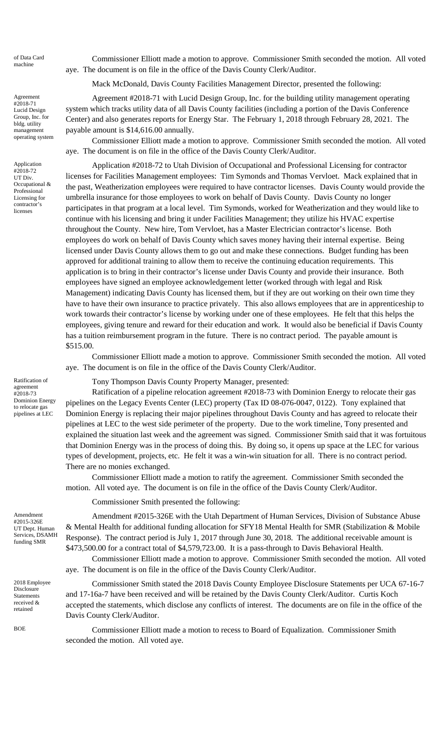of Data Card

Agreement #2018-71 Lucid Design Group, Inc. for bldg. utility management operating system

Application #2018-72 UT Div. Occupational & Professional Licensing for contractor's licenses

Ratification of agreement #2018-73 Dominion Energy to relocate gas pipelines at LEC

Amendment #2015-326E UT Dept. Human Services, DSAMH funding SMR

2018 Employee **Disclosure** Statements received & retained

of Data Card Commissioner Elliott made a motion to approve. Commissioner Smith seconded the motion. All voted machine aye. The document is on file in the office of the Davis County Clerk/Auditor.

Mack McDonald, Davis County Facilities Management Director, presented the following:

Agreement #2018-71 with Lucid Design Group, Inc. for the building utility management operating system which tracks utility data of all Davis County facilities (including a portion of the Davis Conference Center) and also generates reports for Energy Star. The February 1, 2018 through February 28, 2021. The payable amount is \$14,616.00 annually.

Commissioner Elliott made a motion to approve. Commissioner Smith seconded the motion. All voted aye. The document is on file in the office of the Davis County Clerk/Auditor.

Application #2018-72 to Utah Division of Occupational and Professional Licensing for contractor licenses for Facilities Management employees: Tim Symonds and Thomas Vervloet. Mack explained that in the past, Weatherization employees were required to have contractor licenses. Davis County would provide the umbrella insurance for those employees to work on behalf of Davis County. Davis County no longer participates in that program at a local level. Tim Symonds, worked for Weatherization and they would like to continue with his licensing and bring it under Facilities Management; they utilize his HVAC expertise throughout the County. New hire, Tom Vervloet, has a Master Electrician contractor's license. Both employees do work on behalf of Davis County which saves money having their internal expertise. Being licensed under Davis County allows them to go out and make these connections. Budget funding has been approved for additional training to allow them to receive the continuing education requirements. This application is to bring in their contractor's license under Davis County and provide their insurance. Both employees have signed an employee acknowledgement letter (worked through with legal and Risk Management) indicating Davis County has licensed them, but if they are out working on their own time they have to have their own insurance to practice privately. This also allows employees that are in apprenticeship to work towards their contractor's license by working under one of these employees. He felt that this helps the employees, giving tenure and reward for their education and work. It would also be beneficial if Davis County has a tuition reimbursement program in the future. There is no contract period. The payable amount is \$515.00.

Commissioner Elliott made a motion to approve. Commissioner Smith seconded the motion. All voted aye. The document is on file in the office of the Davis County Clerk/Auditor.

Tony Thompson Davis County Property Manager, presented:

Ratification of a pipeline relocation agreement #2018-73 with Dominion Energy to relocate their gas pipelines on the Legacy Events Center (LEC) property (Tax ID 08-076-0047, 0122). Tony explained that Dominion Energy is replacing their major pipelines throughout Davis County and has agreed to relocate their pipelines at LEC to the west side perimeter of the property. Due to the work timeline, Tony presented and explained the situation last week and the agreement was signed. Commissioner Smith said that it was fortuitous that Dominion Energy was in the process of doing this. By doing so, it opens up space at the LEC for various types of development, projects, etc. He felt it was a win-win situation for all. There is no contract period. There are no monies exchanged.

Commissioner Elliott made a motion to ratify the agreement. Commissioner Smith seconded the motion. All voted aye. The document is on file in the office of the Davis County Clerk/Auditor.

Commissioner Smith presented the following:

Amendment #2015-326E with the Utah Department of Human Services, Division of Substance Abuse & Mental Health for additional funding allocation for SFY18 Mental Health for SMR (Stabilization & Mobile Response). The contract period is July 1, 2017 through June 30, 2018. The additional receivable amount is \$473,500.00 for a contract total of \$4,579,723.00. It is a pass-through to Davis Behavioral Health.

Commissioner Elliott made a motion to approve. Commissioner Smith seconded the motion. All voted aye. The document is on file in the office of the Davis County Clerk/Auditor.

Commissioner Smith stated the 2018 Davis County Employee Disclosure Statements per UCA 67-16-7 and 17-16a-7 have been received and will be retained by the Davis County Clerk/Auditor. Curtis Koch accepted the statements, which disclose any conflicts of interest. The documents are on file in the office of the Davis County Clerk/Auditor.

BOE Commissioner Elliott made a motion to recess to Board of Equalization. Commissioner Smith seconded the motion. All voted aye.